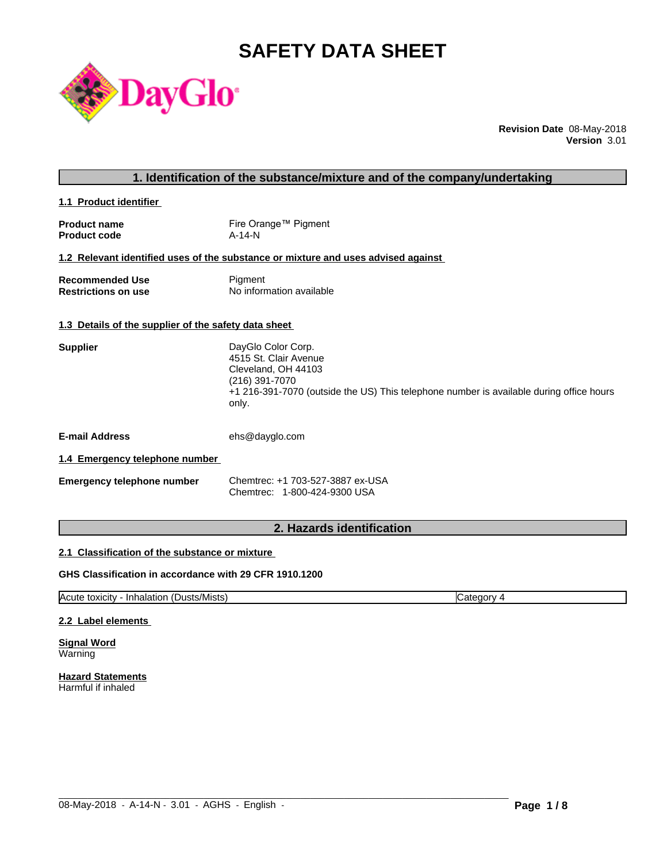# **SAFETY DATA SHEET**



**Revision Date** 08-May-2018 **Version** 3.01

# **1. Identification of the substance/mixture and of the company/undertaking**

**1.1 Product identifier** 

| <b>Product name</b> | Fire Orange™ Pigment |
|---------------------|----------------------|
| <b>Product code</b> | A-14-N               |

### **1.2 Relevant identified uses of the substance or mixture and uses advised against**

| <b>Recommended Use</b>     | Pigment                  |
|----------------------------|--------------------------|
| <b>Restrictions on use</b> | No information available |

#### **1.3 Details of the supplier of the safety data sheet**

| 4515 St. Clair Avenue<br>Cleveland, OH 44103<br>(216) 391-7070                                   |  |
|--------------------------------------------------------------------------------------------------|--|
|                                                                                                  |  |
|                                                                                                  |  |
|                                                                                                  |  |
| +1 216-391-7070 (outside the US) This telephone number is available during office hours<br>only. |  |

**E-mail Address** ehs@dayglo.com

#### **1.4 Emergency telephone number**

| Emergency telephone number | Chemtrec: +1 703-527-3887 ex-USA |
|----------------------------|----------------------------------|
|                            | Chemtrec: 1-800-424-9300 USA     |

# **2. Hazards identification**

#### **2.1 Classification of the substance or mixture**

#### **GHS Classification in accordance with 29 CFR 1910.1200**

Acute toxicity - Inhalation (Dusts/Mists) Category 4

 $\_$  ,  $\_$  ,  $\_$  ,  $\_$  ,  $\_$  ,  $\_$  ,  $\_$  ,  $\_$  ,  $\_$  ,  $\_$  ,  $\_$  ,  $\_$  ,  $\_$  ,  $\_$  ,  $\_$  ,  $\_$  ,  $\_$  ,  $\_$  ,  $\_$  ,  $\_$  ,  $\_$  ,  $\_$  ,  $\_$  ,  $\_$  ,  $\_$  ,  $\_$  ,  $\_$  ,  $\_$  ,  $\_$  ,  $\_$  ,  $\_$  ,  $\_$  ,  $\_$  ,  $\_$  ,  $\_$  ,  $\_$  ,  $\_$  ,

#### **2.2 Label elements**

**Signal Word** Warning

**Hazard Statements** Harmful if inhaled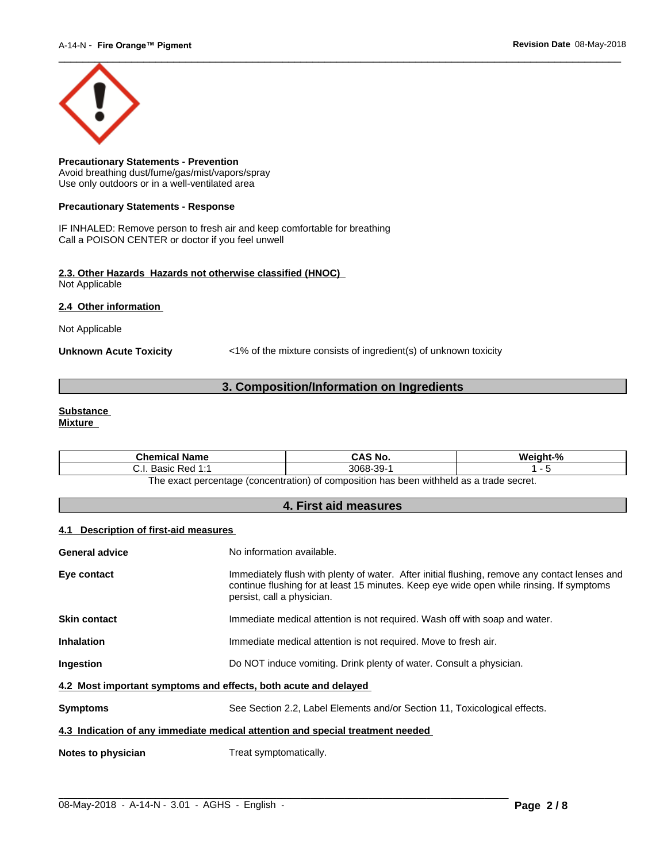

**Precautionary Statements - Prevention** Avoid breathing dust/fume/gas/mist/vapors/spray Use only outdoors or in a well-ventilated area

#### **Precautionary Statements - Response**

IF INHALED: Remove person to fresh air and keep comfortable for breathing Call a POISON CENTER or doctor if you feel unwell

#### **2.3. Other Hazards Hazards not otherwise classified (HNOC)** Not Applicable

**2.4 Other information** 

Not Applicable

**Unknown Acute Toxicity** <1% of the mixture consists of ingredient(s) of unknown toxicity

# **3. Composition/Information on Ingredients**

#### **Substance Mixture**

| Chemical<br>l Name                                                                              | CAS No. | Mainht <sub>-</sub> % |  |  |
|-------------------------------------------------------------------------------------------------|---------|-----------------------|--|--|
| -30-<br>3068-<br>4.4<br>: Red<br><b>Doole</b><br>. ۱. ب<br>sasiv<br>ັບ<br>.                     |         |                       |  |  |
| tannes ahert e ze hladdiw naad sa t<br>: nercentage (concentration) of composition<br>∣h≙ ≙¥a∩t |         |                       |  |  |

The exact percentage (concentration) of composition has been withheld as a trade secret.

# **4. First aid measures**

#### **4.1 Description of first-aid measures**

| <b>General advice</b>                                                          | No information available.                                                                                                                                                                                               |  |  |
|--------------------------------------------------------------------------------|-------------------------------------------------------------------------------------------------------------------------------------------------------------------------------------------------------------------------|--|--|
| Eye contact                                                                    | Immediately flush with plenty of water. After initial flushing, remove any contact lenses and<br>continue flushing for at least 15 minutes. Keep eye wide open while rinsing. If symptoms<br>persist, call a physician. |  |  |
| <b>Skin contact</b>                                                            | Immediate medical attention is not required. Wash off with soap and water.                                                                                                                                              |  |  |
| <b>Inhalation</b>                                                              | Immediate medical attention is not required. Move to fresh air.                                                                                                                                                         |  |  |
| <b>Ingestion</b>                                                               | Do NOT induce vomiting. Drink plenty of water. Consult a physician.                                                                                                                                                     |  |  |
| 4.2 Most important symptoms and effects, both acute and delayed                |                                                                                                                                                                                                                         |  |  |
| <b>Symptoms</b>                                                                | See Section 2.2, Label Elements and/or Section 11, Toxicological effects.                                                                                                                                               |  |  |
| 4.3 Indication of any immediate medical attention and special treatment needed |                                                                                                                                                                                                                         |  |  |
| Notes to physician                                                             | Treat symptomatically.                                                                                                                                                                                                  |  |  |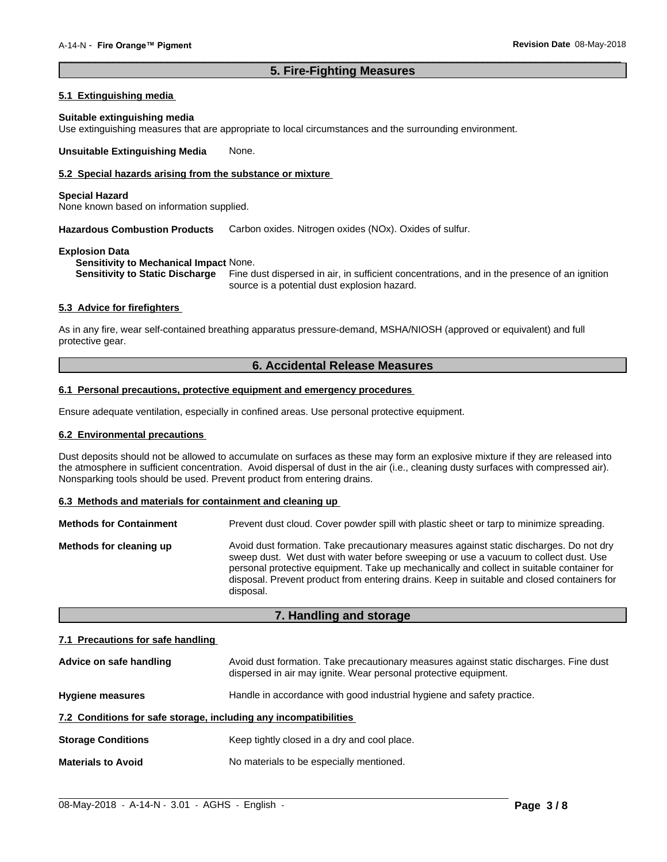### **5. Fire-Fighting Measures**

 $\overline{\phantom{a}}$  ,  $\overline{\phantom{a}}$  ,  $\overline{\phantom{a}}$  ,  $\overline{\phantom{a}}$  ,  $\overline{\phantom{a}}$  ,  $\overline{\phantom{a}}$  ,  $\overline{\phantom{a}}$  ,  $\overline{\phantom{a}}$  ,  $\overline{\phantom{a}}$  ,  $\overline{\phantom{a}}$  ,  $\overline{\phantom{a}}$  ,  $\overline{\phantom{a}}$  ,  $\overline{\phantom{a}}$  ,  $\overline{\phantom{a}}$  ,  $\overline{\phantom{a}}$  ,  $\overline{\phantom{a}}$ 

#### **5.1 Extinguishing media**

#### **Suitable extinguishing media**

Use extinguishing measures that are appropriate to local circumstances and the surrounding environment.

**Unsuitable Extinguishing Media** None.

#### **5.2 Special hazards arising from the substance or mixture**

#### **Special Hazard**

None known based on information supplied.

**Hazardous Combustion Products** Carbon oxides. Nitrogen oxides (NOx). Oxides of sulfur.

#### **Explosion Data**

**Sensitivity to Mechanical Impact** None.

**Sensitivity to Static Discharge** Fine dust dispersed in air, in sufficient concentrations, and in the presence of an ignition source is a potential dust explosion hazard.

#### **5.3 Advice for firefighters**

As in any fire, wear self-contained breathing apparatus pressure-demand, MSHA/NIOSH (approved or equivalent) and full protective gear.

#### **6. Accidental Release Measures**

#### **6.1 Personal precautions, protective equipment and emergency procedures**

Ensure adequate ventilation, especially in confined areas. Use personal protective equipment.

#### **6.2 Environmental precautions**

Dust deposits should not be allowed to accumulate on surfaces as these may form an explosive mixture if they are released into the atmosphere in sufficient concentration. Avoid dispersal of dust in the air (i.e., cleaning dusty surfaces with compressed air). Nonsparking tools should be used. Prevent product from entering drains.

#### **6.3 Methods and materials for containment and cleaning up**

| <b>Methods for Containment</b> | Prevent dust cloud. Cover powder spill with plastic sheet or tarp to minimize spreading.                                                                                                                                                                                                                                                                                                |  |
|--------------------------------|-----------------------------------------------------------------------------------------------------------------------------------------------------------------------------------------------------------------------------------------------------------------------------------------------------------------------------------------------------------------------------------------|--|
| Methods for cleaning up        | Avoid dust formation. Take precautionary measures against static discharges. Do not dry<br>sweep dust. Wet dust with water before sweeping or use a vacuum to collect dust. Use<br>personal protective equipment. Take up mechanically and collect in suitable container for<br>disposal. Prevent product from entering drains. Keep in suitable and closed containers for<br>disposal. |  |

### **7. Handling and storage**

#### **7.1 Precautions for safe handling**

| Advice on safe handling                                          | Avoid dust formation. Take precautionary measures against static discharges. Fine dust<br>dispersed in air may ignite. Wear personal protective equipment. |  |
|------------------------------------------------------------------|------------------------------------------------------------------------------------------------------------------------------------------------------------|--|
| <b>Hygiene measures</b>                                          | Handle in accordance with good industrial hygiene and safety practice.                                                                                     |  |
| 7.2 Conditions for safe storage, including any incompatibilities |                                                                                                                                                            |  |
| <b>Storage Conditions</b>                                        | Keep tightly closed in a dry and cool place.                                                                                                               |  |
| <b>Materials to Avoid</b>                                        | No materials to be especially mentioned.                                                                                                                   |  |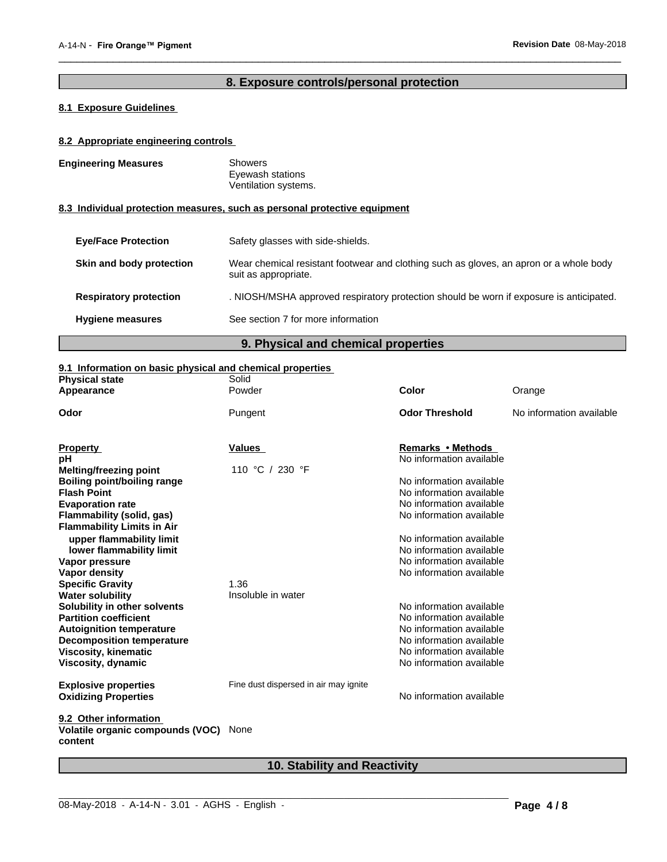# **8. Exposure controls/personal protection**

 $\overline{\phantom{a}}$  ,  $\overline{\phantom{a}}$  ,  $\overline{\phantom{a}}$  ,  $\overline{\phantom{a}}$  ,  $\overline{\phantom{a}}$  ,  $\overline{\phantom{a}}$  ,  $\overline{\phantom{a}}$  ,  $\overline{\phantom{a}}$  ,  $\overline{\phantom{a}}$  ,  $\overline{\phantom{a}}$  ,  $\overline{\phantom{a}}$  ,  $\overline{\phantom{a}}$  ,  $\overline{\phantom{a}}$  ,  $\overline{\phantom{a}}$  ,  $\overline{\phantom{a}}$  ,  $\overline{\phantom{a}}$ 

# **8.1 Exposure Guidelines**

#### **8.2 Appropriate engineering controls**

| <b>Engineering Measures</b>   | Showers<br>Eyewash stations                                                                                    |
|-------------------------------|----------------------------------------------------------------------------------------------------------------|
|                               | Ventilation systems.<br>8.3 Individual protection measures, such as personal protective equipment              |
| <b>Eve/Face Protection</b>    | Safety glasses with side-shields.                                                                              |
| Skin and body protection      | Wear chemical resistant footwear and clothing such as gloves, an apron or a whole body<br>suit as appropriate. |
| <b>Respiratory protection</b> | . NIOSH/MSHA approved respiratory protection should be worn if exposure is anticipated.                        |
| <b>Hygiene measures</b>       | See section 7 for more information                                                                             |
|                               |                                                                                                                |

# **9. Physical and chemical properties**

### **9.1 Information on basic physical and chemical properties**

| <b>Physical state</b>             | Solid                                 |                          |                          |
|-----------------------------------|---------------------------------------|--------------------------|--------------------------|
| Appearance                        | Powder                                | <b>Color</b>             | Orange                   |
| Odor                              | Pungent                               | <b>Odor Threshold</b>    | No information available |
|                                   |                                       |                          |                          |
|                                   |                                       |                          |                          |
| <b>Property</b>                   | Values                                | <b>Remarks • Methods</b> |                          |
| pH                                |                                       | No information available |                          |
| <b>Melting/freezing point</b>     | 110 °C / 230 °F                       |                          |                          |
| Boiling point/boiling range       |                                       | No information available |                          |
| <b>Flash Point</b>                |                                       | No information available |                          |
| <b>Evaporation rate</b>           |                                       | No information available |                          |
| Flammability (solid, gas)         |                                       | No information available |                          |
| <b>Flammability Limits in Air</b> |                                       |                          |                          |
| upper flammability limit          |                                       | No information available |                          |
| lower flammability limit          |                                       | No information available |                          |
| Vapor pressure                    |                                       | No information available |                          |
| Vapor density                     |                                       | No information available |                          |
| <b>Specific Gravity</b>           | 1.36                                  |                          |                          |
| <b>Water solubility</b>           | Insoluble in water                    |                          |                          |
| Solubility in other solvents      |                                       | No information available |                          |
| <b>Partition coefficient</b>      |                                       | No information available |                          |
| <b>Autoignition temperature</b>   |                                       | No information available |                          |
| <b>Decomposition temperature</b>  |                                       | No information available |                          |
| Viscosity, kinematic              |                                       | No information available |                          |
| Viscosity, dynamic                |                                       | No information available |                          |
|                                   |                                       |                          |                          |
| <b>Explosive properties</b>       | Fine dust dispersed in air may ignite |                          |                          |
| <b>Oxidizing Properties</b>       |                                       | No information available |                          |
|                                   |                                       |                          |                          |
| 9.2 Other information             |                                       |                          |                          |
| Volatile organic compounds (VOC)  | None                                  |                          |                          |
| content                           |                                       |                          |                          |
|                                   |                                       |                          |                          |

# **10. Stability and Reactivity**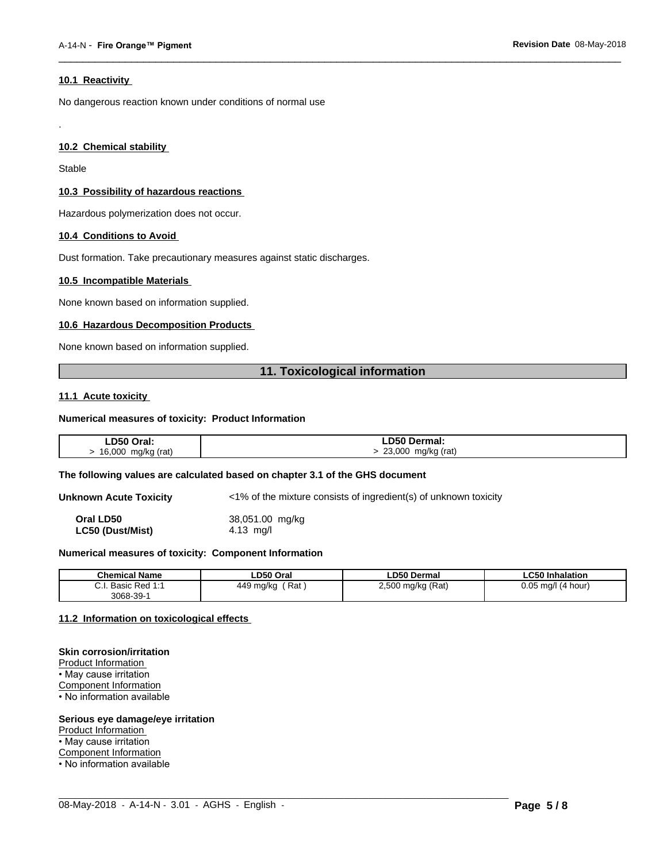#### **10.1 Reactivity**

No dangerous reaction known under conditions of normal use

#### **10.2 Chemical stability**

Stable

.

#### **10.3 Possibility of hazardous reactions**

Hazardous polymerization does not occur.

#### **10.4 Conditions to Avoid**

Dust formation. Take precautionary measures against static discharges.

#### **10.5 Incompatible Materials**

None known based on information supplied.

#### **10.6 Hazardous Decomposition Products**

None known based on information supplied.

# **11. Toxicological information**

 $\overline{\phantom{a}}$  ,  $\overline{\phantom{a}}$  ,  $\overline{\phantom{a}}$  ,  $\overline{\phantom{a}}$  ,  $\overline{\phantom{a}}$  ,  $\overline{\phantom{a}}$  ,  $\overline{\phantom{a}}$  ,  $\overline{\phantom{a}}$  ,  $\overline{\phantom{a}}$  ,  $\overline{\phantom{a}}$  ,  $\overline{\phantom{a}}$  ,  $\overline{\phantom{a}}$  ,  $\overline{\phantom{a}}$  ,  $\overline{\phantom{a}}$  ,  $\overline{\phantom{a}}$  ,  $\overline{\phantom{a}}$ 

#### **11.1 Acute toxicity**

#### **Numerical measures of toxicity: Product Information**

| LD50 Oral:                      | LD50 Dermal:                             |
|---------------------------------|------------------------------------------|
| mg/kg (rat)<br>16,000<br>J<br>ີ | 23,000<br>mg/kg (rat)<br>$\cdot$ $\cdot$ |

#### **The following values are calculated based on chapter 3.1 of the GHS document**

**Unknown Acute Toxicity** <1% of the mixture consists of ingredient(s) of unknown toxicity

**Oral LD50** 38,051.00 mg/kg **LC50 (Dust/Mist)** 4.13 mg/l

#### **Numerical measures of toxicity: Component Information**

| <b>Chemical Name</b>                                            | LD50 Oral        | <b>LD50 Dermal</b>                  | <b>LC50 Inhalation</b>  |
|-----------------------------------------------------------------|------------------|-------------------------------------|-------------------------|
| $\sim$<br><b>DAN 1.1</b><br>$D_{\Omega}$<br>Basic Red T.T<br>ن. | 449 ma/ka<br>Rat | 2,500 mg/kg (Rat)<br>. .<br>$\cdot$ | $0.05$ ma/l<br>(4 hour) |
| 3068-39-                                                        |                  |                                     |                         |

 $\_$  ,  $\_$  ,  $\_$  ,  $\_$  ,  $\_$  ,  $\_$  ,  $\_$  ,  $\_$  ,  $\_$  ,  $\_$  ,  $\_$  ,  $\_$  ,  $\_$  ,  $\_$  ,  $\_$  ,  $\_$  ,  $\_$  ,  $\_$  ,  $\_$  ,  $\_$  ,  $\_$  ,  $\_$  ,  $\_$  ,  $\_$  ,  $\_$  ,  $\_$  ,  $\_$  ,  $\_$  ,  $\_$  ,  $\_$  ,  $\_$  ,  $\_$  ,  $\_$  ,  $\_$  ,  $\_$  ,  $\_$  ,  $\_$  ,

#### **11.2 Information on toxicologicaleffects**

#### **Skin corrosion/irritation**

Product Information • May cause irritation Component Information • No information available

#### **Serious eye damage/eye irritation**

Product Information

• May cause irritation

Component Information

• No information available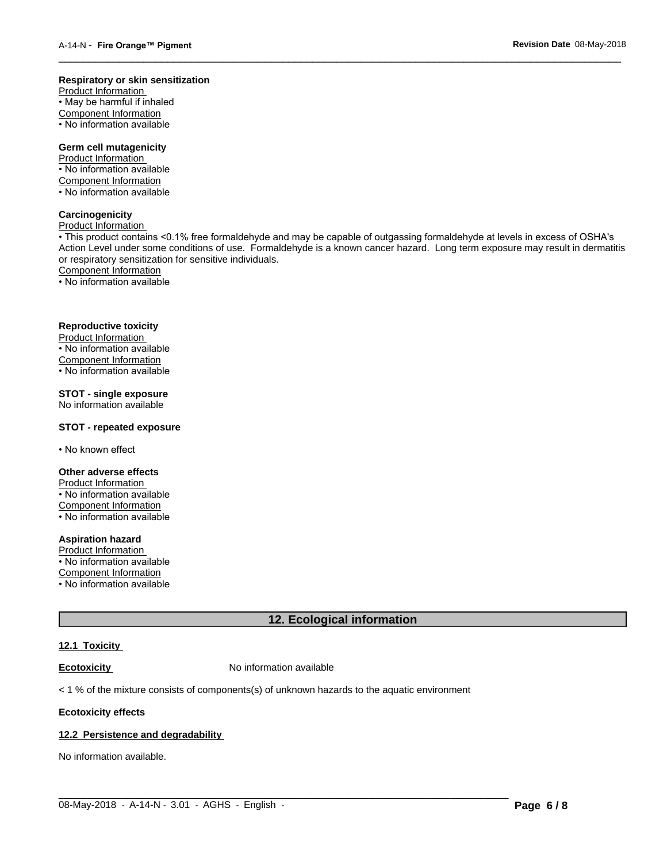#### **Respiratory or skin sensitization**

Product Information  $\overline{\cdot}$  May be harmful if inhaled Component Information • No information available

### **Germ cell mutagenicity**

Product Information • No information available Component Information • No information available

# **Carcinogenicity**

Product Information

• This product contains <0.1% free formaldehyde and may be capable of outgassing formaldehyde at levels in excess of OSHA's Action Level under some conditions of use. Formaldehyde is a known cancer hazard. Long term exposure may result in dermatitis or respiratory sensitization for sensitive individuals.Component Information

 $\overline{\phantom{a}}$  ,  $\overline{\phantom{a}}$  ,  $\overline{\phantom{a}}$  ,  $\overline{\phantom{a}}$  ,  $\overline{\phantom{a}}$  ,  $\overline{\phantom{a}}$  ,  $\overline{\phantom{a}}$  ,  $\overline{\phantom{a}}$  ,  $\overline{\phantom{a}}$  ,  $\overline{\phantom{a}}$  ,  $\overline{\phantom{a}}$  ,  $\overline{\phantom{a}}$  ,  $\overline{\phantom{a}}$  ,  $\overline{\phantom{a}}$  ,  $\overline{\phantom{a}}$  ,  $\overline{\phantom{a}}$ 

• No information available

#### **Reproductive toxicity**

Product Information • No information available

Component Information

• No information available

# **STOT - single exposure**

No information available

#### **STOT - repeated exposure**

• No known effect

#### **Other adverse effects**

Product Information • No information available Component Information

• No information available

# **Aspiration hazard**

Product Information • No information available

Component Information

• No information available

# **12. Ecological information**

#### **12.1 Toxicity**

**Ecotoxicity No information available** 

 $<$  1 % of the mixture consists of components(s) of unknown hazards to the aquatic environment

#### **Ecotoxicity effects**

#### **12.2 Persistence and degradability**

No information available.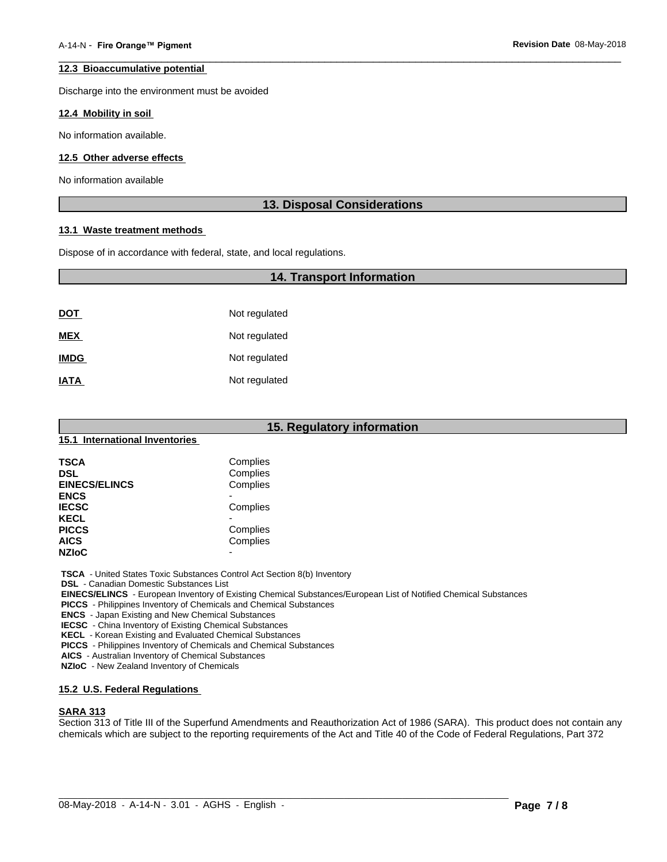#### **12.3 Bioaccumulative potential**

Discharge into the environment must be avoided

#### **12.4 Mobility in soil**

No information available.

#### **12.5 Other adverse effects**

No information available

#### **13. Disposal Considerations**

 $\overline{\phantom{a}}$  ,  $\overline{\phantom{a}}$  ,  $\overline{\phantom{a}}$  ,  $\overline{\phantom{a}}$  ,  $\overline{\phantom{a}}$  ,  $\overline{\phantom{a}}$  ,  $\overline{\phantom{a}}$  ,  $\overline{\phantom{a}}$  ,  $\overline{\phantom{a}}$  ,  $\overline{\phantom{a}}$  ,  $\overline{\phantom{a}}$  ,  $\overline{\phantom{a}}$  ,  $\overline{\phantom{a}}$  ,  $\overline{\phantom{a}}$  ,  $\overline{\phantom{a}}$  ,  $\overline{\phantom{a}}$ 

#### **13.1 Waste treatment methods**

Dispose of in accordance with federal, state, and local regulations.

# **14. Transport Information**

| <u>DOT</u>  | Not regulated |
|-------------|---------------|
| <b>MEX</b>  | Not regulated |
| <b>IMDG</b> | Not regulated |
| <b>IATA</b> | Not regulated |

| 15. Regulatory information     |                          |  |  |  |
|--------------------------------|--------------------------|--|--|--|
| 15.1 International Inventories |                          |  |  |  |
| <b>TSCA</b>                    | Complies                 |  |  |  |
| <b>DSL</b>                     | Complies                 |  |  |  |
| <b>EINECS/ELINCS</b>           | Complies                 |  |  |  |
| <b>ENCS</b>                    | $\overline{\phantom{0}}$ |  |  |  |
| <b>IECSC</b>                   | Complies                 |  |  |  |
| <b>KECL</b>                    | $\blacksquare$           |  |  |  |
| <b>PICCS</b>                   | Complies                 |  |  |  |
| AICS                           | Complies                 |  |  |  |
| <b>NZIoC</b>                   | $\blacksquare$           |  |  |  |

 **TSCA** - United States Toxic Substances Control Act Section 8(b) Inventory

 **DSL** - Canadian Domestic Substances List

 **EINECS/ELINCS** - European Inventory of Existing Chemical Substances/European List of Notified Chemical Substances

 **PICCS** - Philippines Inventory of Chemicals and Chemical Substances

 **ENCS** - Japan Existing and New Chemical Substances

 **IECSC** - China Inventory of Existing Chemical Substances

 **KECL** - Korean Existing and Evaluated Chemical Substances

 **PICCS** - Philippines Inventory of Chemicals and Chemical Substances

 **AICS** - Australian Inventory of Chemical Substances

 **NZIoC** - New Zealand Inventory of Chemicals

#### **15.2 U.S. Federal Regulations**

#### **SARA 313**

Section 313 of Title III of the Superfund Amendments and Reauthorization Act of 1986 (SARA). This product does not contain any chemicals which are subject to the reporting requirements of the Act and Title 40 of the Code of Federal Regulations, Part 372